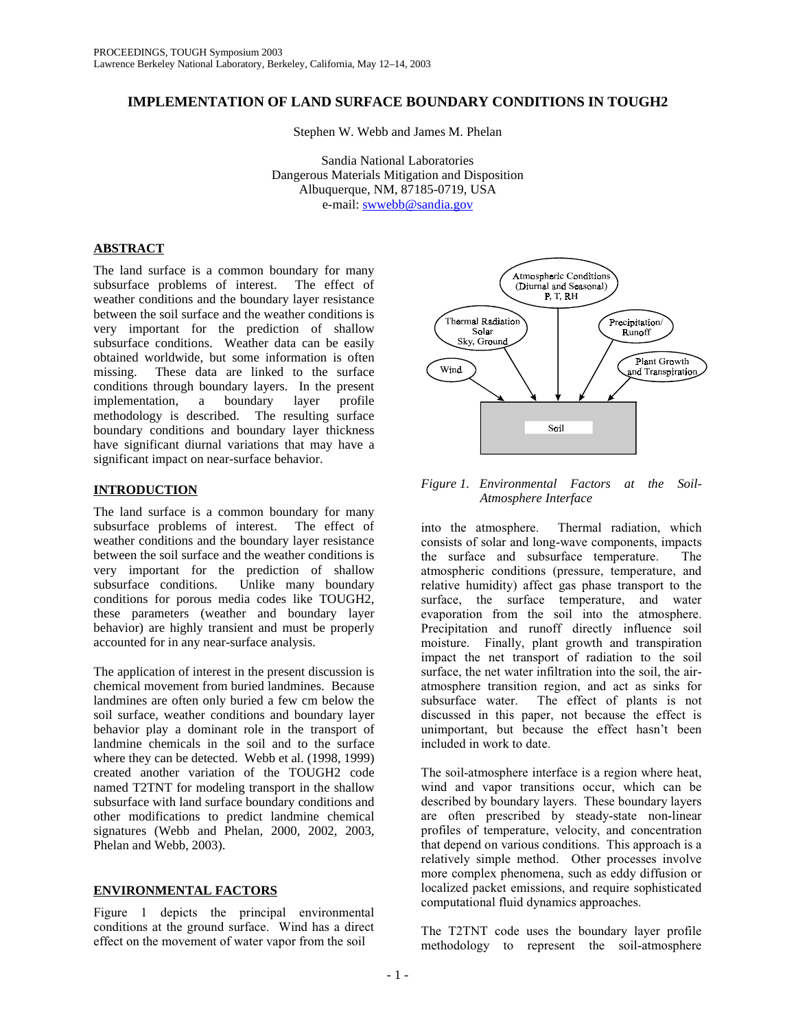# **IMPLEMENTATION OF LAND SURFACE BOUNDARY CONDITIONS IN TOUGH2**

Stephen W. Webb and James M. Phelan

Sandia National Laboratories Dangerous Materials Mitigation and Disposition Albuquerque, NM, 87185-0719, USA e-mail: swwebb@sandia.gov

### **ABSTRACT**

The land surface is a common boundary for many subsurface problems of interest. The effect of subsurface problems of interest. weather conditions and the boundary layer resistance between the soil surface and the weather conditions is very important for the prediction of shallow subsurface conditions. Weather data can be easily obtained worldwide, but some information is often missing. These data are linked to the surface conditions through boundary layers. In the present implementation, a boundary layer profile methodology is described. The resulting surface boundary conditions and boundary layer thickness have significant diurnal variations that may have a significant impact on near-surface behavior.

# **INTRODUCTION**

The land surface is a common boundary for many subsurface problems of interest. The effect of weather conditions and the boundary layer resistance between the soil surface and the weather conditions is very important for the prediction of shallow subsurface conditions. Unlike many boundary conditions for porous media codes like TOUGH2, these parameters (weather and boundary layer behavior) are highly transient and must be properly accounted for in any near-surface analysis.

The application of interest in the present discussion is chemical movement from buried landmines. Because landmines are often only buried a few cm below the soil surface, weather conditions and boundary layer behavior play a dominant role in the transport of landmine chemicals in the soil and to the surface where they can be detected. Webb et al. (1998, 1999) created another variation of the TOUGH2 code named T2TNT for modeling transport in the shallow subsurface with land surface boundary conditions and other modifications to predict landmine chemical signatures (Webb and Phelan, 2000, 2002, 2003, Phelan and Webb, 2003).

# **ENVIRONMENTAL FACTORS**

Figure 1 depicts the principal environmental conditions at the ground surface. Wind has a direct effect on the movement of water vapor from the soil



# *Figure 1. Environmental Factors at the Soil-Atmosphere Interface*

into the atmosphere. Thermal radiation, which consists of solar and long-wave components, impacts the surface and subsurface temperature. The atmospheric conditions (pressure, temperature, and relative humidity) affect gas phase transport to the surface, the surface temperature, and water evaporation from the soil into the atmosphere. Precipitation and runoff directly influence soil moisture. Finally, plant growth and transpiration impact the net transport of radiation to the soil surface, the net water infiltration into the soil, the airatmosphere transition region, and act as sinks for subsurface water. The effect of plants is not discussed in this paper, not because the effect is unimportant, but because the effect hasn't been included in work to date.

The soil-atmosphere interface is a region where heat, wind and vapor transitions occur, which can be described by boundary layers. These boundary layers are often prescribed by steady-state non-linear profiles of temperature, velocity, and concentration that depend on various conditions. This approach is a relatively simple method. Other processes involve more complex phenomena, such as eddy diffusion or localized packet emissions, and require sophisticated computational fluid dynamics approaches.

The T2TNT code uses the boundary layer profile methodology to represent the soil-atmosphere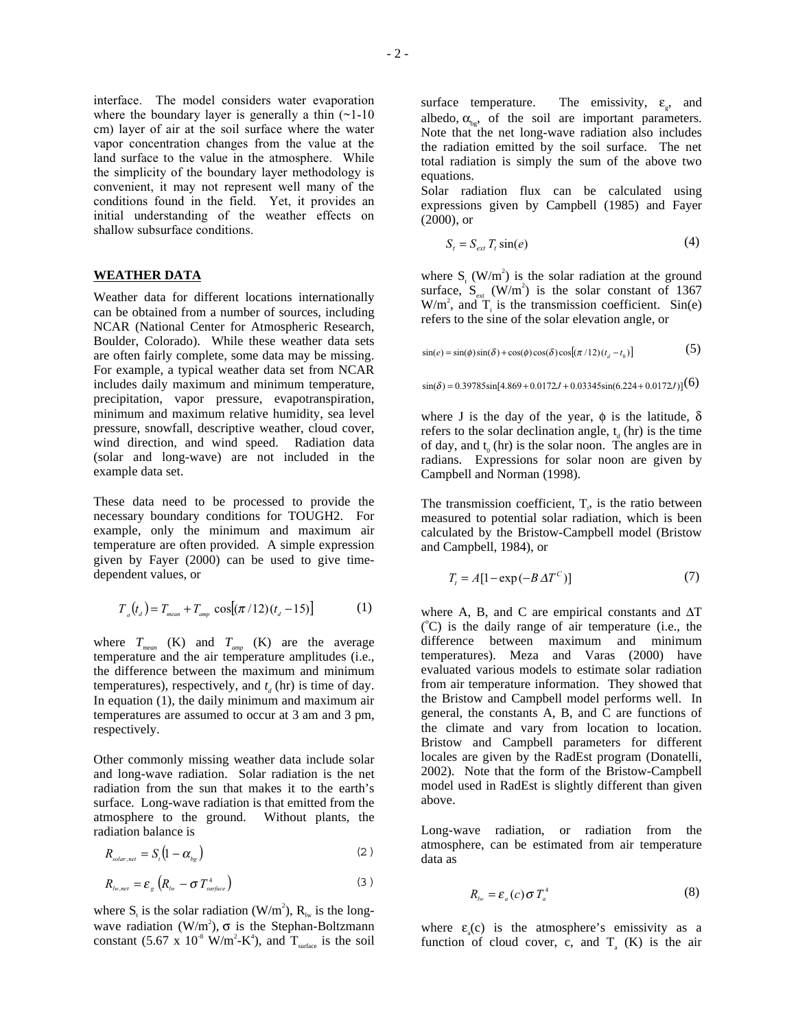interface. The model considers water evaporation where the boundary layer is generally a thin  $(-1-10)$ cm) layer of air at the soil surface where the water vapor concentration changes from the value at the land surface to the value in the atmosphere. While the simplicity of the boundary layer methodology is convenient, it may not represent well many of the conditions found in the field. Yet, it provides an initial understanding of the weather effects on shallow subsurface conditions.

#### **WEATHER DATA**

Weather data for different locations internationally can be obtained from a number of sources, including NCAR (National Center for Atmospheric Research, Boulder, Colorado). While these weather data sets are often fairly complete, some data may be missing. For example, a typical weather data set from NCAR includes daily maximum and minimum temperature, precipitation, vapor pressure, evapotranspiration, minimum and maximum relative humidity, sea level pressure, snowfall, descriptive weather, cloud cover, wind direction, and wind speed. Radiation data (solar and long-wave) are not included in the example data set.

These data need to be processed to provide the necessary boundary conditions for TOUGH2. For example, only the minimum and maximum air temperature are often provided. A simple expression given by Fayer (2000) can be used to give timedependent values, or

$$
T_a(t_a) = T_{mean} + T_{amp} \cos[(\pi/12)(t_a - 15)] \tag{1}
$$

where  $T_{mean}$  (K) and  $T_{amp}$  (K) are the average temperature and the air temperature amplitudes (i.e., the difference between the maximum and minimum temperatures), respectively, and  $t_d$  (hr) is time of day. In equation (1), the daily minimum and maximum air temperatures are assumed to occur at 3 am and 3 pm, respectively.

Other commonly missing weather data include solar and long-wave radiation. Solar radiation is the net radiation from the sun that makes it to the earth's surface. Long-wave radiation is that emitted from the atmosphere to the ground. Without plants, the radiation balance is

$$
R_{\text{solar},\text{net}} = S_{\text{i}} \left( 1 - \alpha_{\text{bg}} \right) \tag{2}
$$

$$
R_{lw,net} = \varepsilon_{g} (R_{lw} - \sigma T_{\textit{surface}}^4)
$$
 (3)

where  $S_t$  is the solar radiation (W/m<sup>2</sup>),  $R_{lw}$  is the longwave radiation  $(W/m^2)$ ,  $\sigma$  is the Stephan-Boltzmann constant (5.67 x  $10^8$  W/m<sup>2</sup>-K<sup>4</sup>), and T<sub>surface</sub> is the soil surface temperature. The emissivity,  $\varepsilon_{\rm s}$ , and albedo,  $\alpha_{\text{ho}}$ , of the soil are important parameters. Note that the net long-wave radiation also includes the radiation emitted by the soil surface. The net total radiation is simply the sum of the above two equations.

Solar radiation flux can be calculated using expressions given by Campbell (1985) and Fayer (2000), or

$$
S_t = S_{\text{ext}} T_t \sin(e) \tag{4}
$$

where  $S_t$  (W/m<sup>2</sup>) is the solar radiation at the ground surface,  $S_{ext}$  (W/m<sup>2</sup>) is the solar constant of 1367  $W/m<sup>2</sup>$ , and  $T<sub>t</sub>$  is the transmission coefficient. Sin(e) refers to the sine of the solar elevation angle, or

$$
\sin(e) = \sin(\phi)\sin(\delta) + \cos(\phi)\cos(\delta)\cos[(\pi/12)(t_a - t_0)]
$$
\n(5)

 $\sin(\delta) = 0.39785\sin[4.869 + 0.0172J + 0.03345\sin(6.224 + 0.0172J)](6)$ 

where J is the day of the year,  $\phi$  is the latitude,  $\delta$ refers to the solar declination angle,  $t_d$  (hr) is the time of day, and  $t_0$  (hr) is the solar noon. The angles are in radians. Expressions for solar noon are given by Campbell and Norman (1998).

The transmission coefficient,  $T_t$ , is the ratio between measured to potential solar radiation, which is been calculated by the Bristow-Campbell model (Bristow and Campbell, 1984), or

$$
T_t = A[1 - \exp(-B\Delta T^C)] \tag{7}
$$

where A, B, and C are empirical constants and  $\Delta T$ (°C) is the daily range of air temperature (i.e., the difference between maximum and minimum temperatures). Meza and Varas (2000) have evaluated various models to estimate solar radiation from air temperature information. They showed that the Bristow and Campbell model performs well. In general, the constants A, B, and C are functions of the climate and vary from location to location. Bristow and Campbell parameters for different locales are given by the RadEst program (Donatelli, 2002). Note that the form of the Bristow-Campbell model used in RadEst is slightly different than given above.

Long-wave radiation, or radiation from the atmosphere, can be estimated from air temperature data as

$$
R_{i_w} = \varepsilon_a(c)\sigma T_a^4 \tag{8}
$$

where  $\varepsilon_a(c)$  is the atmosphere's emissivity as a function of cloud cover, c, and  $T_a$  (K) is the air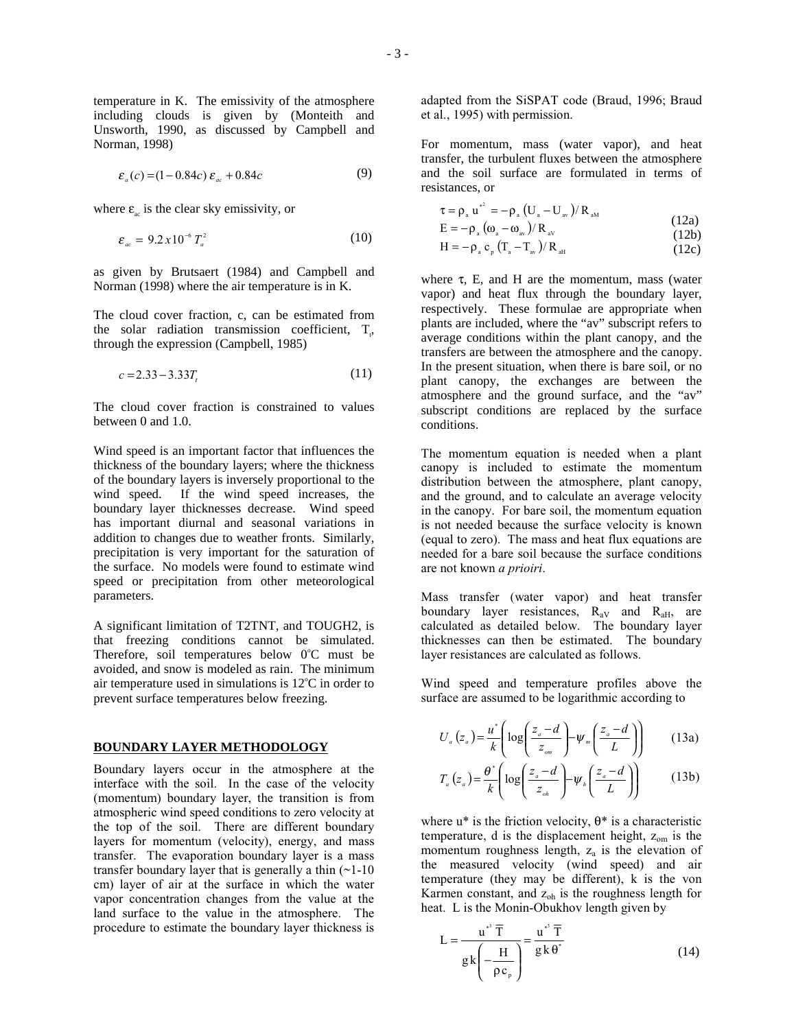temperature in K. The emissivity of the atmosphere including clouds is given by (Monteith and Unsworth, 1990, as discussed by Campbell and Norman, 1998)

$$
\varepsilon_a(c) = (1 - 0.84c) \varepsilon_{ac} + 0.84c \tag{9}
$$

where  $\varepsilon_{ac}$  is the clear sky emissivity, or

$$
\varepsilon_{ac} = 9.2 \, x \, 10^{-6} \, T_a^2 \tag{10}
$$

as given by Brutsaert (1984) and Campbell and Norman (1998) where the air temperature is in K.

The cloud cover fraction, c, can be estimated from the solar radiation transmission coefficient,  $T_t$ , through the expression (Campbell, 1985)

$$
c = 2.33 - 3.33T_t \tag{11}
$$

The cloud cover fraction is constrained to values between 0 and 1.0.

Wind speed is an important factor that influences the thickness of the boundary layers; where the thickness of the boundary layers is inversely proportional to the wind speed. If the wind speed increases, the boundary layer thicknesses decrease. Wind speed has important diurnal and seasonal variations in addition to changes due to weather fronts. Similarly, precipitation is very important for the saturation of the surface. No models were found to estimate wind speed or precipitation from other meteorological parameters.

A significant limitation of T2TNT, and TOUGH2, is that freezing conditions cannot be simulated. Therefore, soil temperatures below  $0^{\circ}$ C must be avoided, and snow is modeled as rain. The minimum air temperature used in simulations is  $12^{\circ}$ C in order to prevent surface temperatures below freezing.

#### **BOUNDARY LAYER METHODOLOGY**

Boundary layers occur in the atmosphere at the interface with the soil. In the case of the velocity (momentum) boundary layer, the transition is from atmospheric wind speed conditions to zero velocity at the top of the soil. There are different boundary layers for momentum (velocity), energy, and mass transfer. The evaporation boundary layer is a mass transfer boundary layer that is generally a thin (~1-10 cm) layer of air at the surface in which the water vapor concentration changes from the value at the land surface to the value in the atmosphere. The procedure to estimate the boundary layer thickness is

adapted from the SiSPAT code (Braud, 1996; Braud et al., 1995) with permission.

For momentum, mass (water vapor), and heat transfer, the turbulent fluxes between the atmosphere and the soil surface are formulated in terms of resistances, or

 $\rightarrow$ 

$$
\tau = \rho_a u^{*2} = -\rho_a (U_a - U_{av})/R_{AM}
$$
  
\n
$$
E = -\rho_a (\omega_a - \omega_{av})/R_{av}
$$
\n(12a)

$$
E = -\rho_a \left( \omega_a - \omega_{av} \right) / R_{av} \tag{12b}
$$

$$
H = -\rho_a \, c_p \left( T_a - T_{av} \right) / R_{ad}
$$
\n
$$
(12b)
$$
\n
$$
H = -\rho_a \, c_p \left( T_a - T_{av} \right) / R_{ad}
$$
\n
$$
(12c)
$$

where  $\tau$ , E, and H are the momentum, mass (water vapor) and heat flux through the boundary layer, respectively. These formulae are appropriate when plants are included, where the "av" subscript refers to average conditions within the plant canopy, and the transfers are between the atmosphere and the canopy. In the present situation, when there is bare soil, or no plant canopy, the exchanges are between the atmosphere and the ground surface, and the "av" subscript conditions are replaced by the surface conditions.

The momentum equation is needed when a plant canopy is included to estimate the momentum distribution between the atmosphere, plant canopy, and the ground, and to calculate an average velocity in the canopy. For bare soil, the momentum equation is not needed because the surface velocity is known (equal to zero). The mass and heat flux equations are needed for a bare soil because the surface conditions are not known *a prioiri*.

Mass transfer (water vapor) and heat transfer boundary layer resistances,  $R_{aV}$  and  $R_{aH}$ , are calculated as detailed below. The boundary layer thicknesses can then be estimated. The boundary layer resistances are calculated as follows.

Wind speed and temperature profiles above the surface are assumed to be logarithmic according to

$$
U_a(z_a) = \frac{u^*}{k} \left( \log \left( \frac{z_a - d}{z_{om}} \right) - \psi_m \left( \frac{z_a - d}{L} \right) \right) \tag{13a}
$$

$$
T_a(z_a) = \frac{\theta^*}{k} \left( \log \left( \frac{z_a - d}{z_{oh}} \right) - \psi_h \left( \frac{z_a - d}{L} \right) \right) \tag{13b}
$$

where  $u^*$  is the friction velocity,  $\theta^*$  is a characteristic temperature, d is the displacement height,  $z_{\text{om}}$  is the momentum roughness length,  $z_a$  is the elevation of the measured velocity (wind speed) and air temperature (they may be different), k is the von Karmen constant, and  $z_{oh}$  is the roughness length for heat. L is the Monin-Obukhov length given by

$$
L = \frac{u^{*^3} \overline{T}}{g k \left(-\frac{H}{\rho c_{\rho}}\right)} = \frac{u^{*^3} \overline{T}}{g k \theta^*}
$$
(14)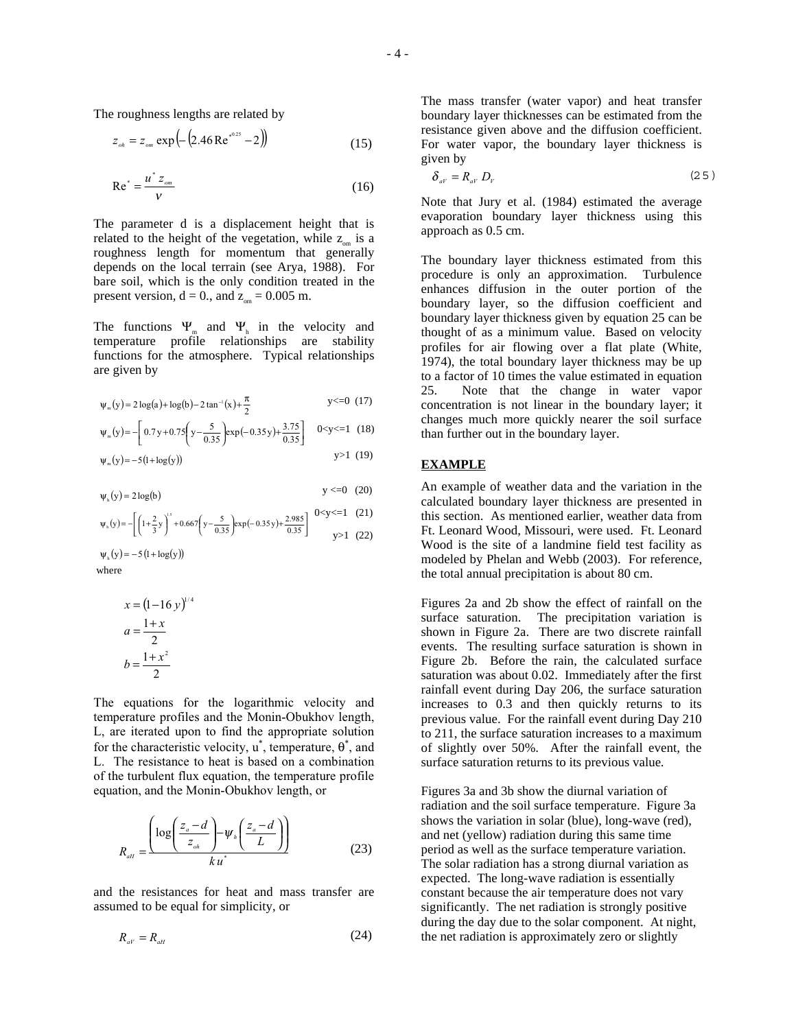The roughness lengths are related by

$$
z_{\scriptscriptstyle oh} = z_{\scriptscriptstyle om} \exp\left(-\left(2.46 \,\mathrm{Re}^{\,\mathfrak{s}^{0.25}} - 2\right)\right) \tag{15}
$$

$$
\text{Re}^* = \frac{u^* z_{\scriptscriptstyle om}}{v} \tag{16}
$$

The parameter d is a displacement height that is related to the height of the vegetation, while  $z_{\text{cm}}$  is a roughness length for momentum that generally depends on the local terrain (see Arya, 1988). For bare soil, which is the only condition treated in the present version,  $d = 0$ ., and  $z_{\text{om}} = 0.005$  m.

The functions  $\Psi_m$  and  $\Psi_h$  in the velocity and temperature profile relationships are stability functions for the atmosphere. Typical relationships are given by

$$
\psi_{m}(y) = 2\log(a) + \log(b) - 2\tan^{-1}(x) + \frac{\pi}{2}
$$
 y < 0 (17)

$$
\Psi_{\rm m}(\mathbf{y}) = -\left[0.7\,\mathbf{y} + 0.75\left(\mathbf{y} - \frac{5}{0.35}\right) \exp(-0.35\,\mathbf{y}) + \frac{3.75}{0.35}\right] \quad 0 < \mathbf{y} < 1 \quad (18)
$$

$$
\psi_{m}(y) = -5(1 + \log(y)) \tag{19}
$$

$$
\psi_{h}(y) = 2\log(b) \qquad \qquad y < =0 \quad (20)
$$

$$
\psi_{s}(y) = -\left[ \left( 1 + \frac{2}{3} y \right)^{s} + 0.667 \left( y - \frac{5}{0.35} \right) \exp(-0.35 y) + \frac{2.985}{0.35} \right] \begin{array}{c} 0 < y < = 1 \quad (21) \\ y > 1 \quad (22) \end{array}
$$

 where  $\psi_{h}(y) = -5(1 + \log(y))$ 

$$
x = (1 - 16 \text{ y})^{1/4}
$$

$$
a = \frac{1+x}{2}
$$

$$
b = \frac{1+x^2}{2}
$$

The equations for the logarithmic velocity and temperature profiles and the Monin-Obukhov length, L, are iterated upon to find the appropriate solution for the characteristic velocity,  $u^*$ , temperature,  $\theta^*$ , and L. The resistance to heat is based on a combination of the turbulent flux equation, the temperature profile equation, and the Monin-Obukhov length, or

$$
R_{_{all}} = \frac{\left(\log\left(\frac{z_a - d}{z_{_{oh}}}\right) - \psi_h\left(\frac{z_a - d}{L}\right)\right)}{ku^*}
$$
 (23)

and the resistances for heat and mass transfer are assumed to be equal for simplicity, or

$$
R_{aV} = R_{aH} \tag{24}
$$

The mass transfer (water vapor) and heat transfer boundary layer thicknesses can be estimated from the resistance given above and the diffusion coefficient. For water vapor, the boundary layer thickness is given by

$$
\delta_{aV} = R_{aV} D_V \tag{2.5}
$$

Note that Jury et al. (1984) estimated the average evaporation boundary layer thickness using this approach as 0.5 cm.

The boundary layer thickness estimated from this procedure is only an approximation. Turbulence enhances diffusion in the outer portion of the boundary layer, so the diffusion coefficient and boundary layer thickness given by equation 25 can be thought of as a minimum value. Based on velocity profiles for air flowing over a flat plate (White, 1974), the total boundary layer thickness may be up to a factor of 10 times the value estimated in equation 25. Note that the change in water vapor concentration is not linear in the boundary layer; it changes much more quickly nearer the soil surface than further out in the boundary layer.

#### **EXAMPLE**

An example of weather data and the variation in the calculated boundary layer thickness are presented in this section. As mentioned earlier, weather data from Ft. Leonard Wood, Missouri, were used. Ft. Leonard Wood is the site of a landmine field test facility as modeled by Phelan and Webb (2003). For reference, the total annual precipitation is about 80 cm.

Figures 2a and 2b show the effect of rainfall on the surface saturation. The precipitation variation is shown in Figure 2a. There are two discrete rainfall events. The resulting surface saturation is shown in Figure 2b. Before the rain, the calculated surface saturation was about 0.02. Immediately after the first rainfall event during Day 206, the surface saturation increases to 0.3 and then quickly returns to its previous value. For the rainfall event during Day 210 to 211, the surface saturation increases to a maximum of slightly over 50%. After the rainfall event, the surface saturation returns to its previous value.

Figures 3a and 3b show the diurnal variation of radiation and the soil surface temperature. Figure 3a shows the variation in solar (blue), long-wave (red), and net (yellow) radiation during this same time period as well as the surface temperature variation. The solar radiation has a strong diurnal variation as expected. The long-wave radiation is essentially constant because the air temperature does not vary significantly. The net radiation is strongly positive during the day due to the solar component. At night, the net radiation is approximately zero or slightly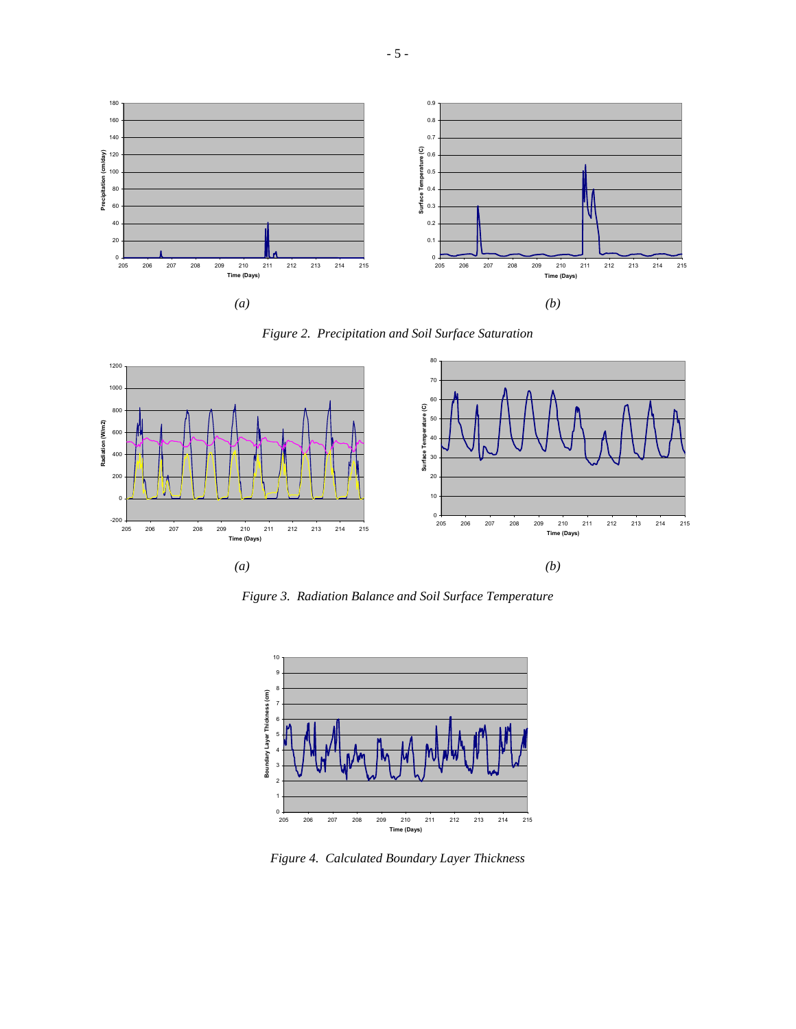





*Figure 3. Radiation Balance and Soil Surface Temperature* 



*Figure 4. Calculated Boundary Layer Thickness*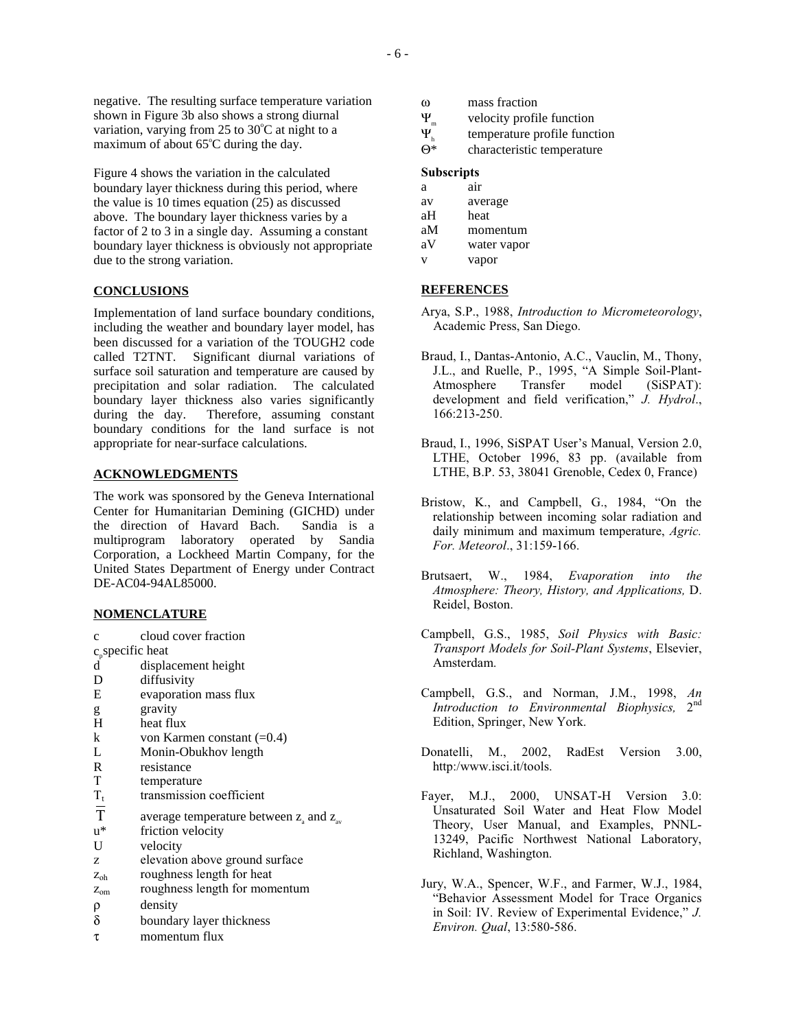negative. The resulting surface temperature variation shown in Figure 3b also shows a strong diurnal variation, varying from 25 to 30°C at night to a maximum of about 65°C during the day.

Figure 4 shows the variation in the calculated boundary layer thickness during this period, where the value is 10 times equation (25) as discussed above. The boundary layer thickness varies by a factor of 2 to 3 in a single day. Assuming a constant boundary layer thickness is obviously not appropriate due to the strong variation.

### **CONCLUSIONS**

Implementation of land surface boundary conditions, including the weather and boundary layer model, has been discussed for a variation of the TOUGH2 code called T2TNT. Significant diurnal variations of surface soil saturation and temperature are caused by precipitation and solar radiation. The calculated boundary layer thickness also varies significantly during the day. Therefore, assuming constant boundary conditions for the land surface is not appropriate for near-surface calculations.

### **ACKNOWLEDGMENTS**

The work was sponsored by the Geneva International Center for Humanitarian Demining (GICHD) under the direction of Havard Bach. Sandia is a multiprogram laboratory operated by Sandia Corporation, a Lockheed Martin Company, for the United States Department of Energy under Contract DE-AC04-94AL85000.

### **NOMENCLATURE**

| с |  | cloud cover fraction |
|---|--|----------------------|
|   |  |                      |

 $c_p$  specific heat<br>d displa

- displacement height
- D diffusivity<br>E evaporatio
- evaporation mass flux
- g gravity
- H heat flux
- k von Karmen constant  $(=0.4)$
- L Monin-Obukhov length<br>R resistance
- R resistance<br>T temperature
- temperature
- $T_t$  transmission coefficient
- T average temperature between  $z_a$  and  $z_{av}$
- u<sup>\*</sup> friction velocity<br>U velocity
- velocity
- z elevation above ground surface
- zoh roughness length for heat
- z<sub>om</sub> roughness length for momentum
- ρ density
- δ boundary layer thickness
- τ momentum flux
- ω mass fraction
- $\Psi_{m}$  velocity profile function
- $\Psi_h$  temperature profile function<br>  $\Theta^*$  characteristic temperature
- characteristic temperature

## **Subscripts**

- a air
- av average
- aH heat
- aM momentum aV water vapor
- v vapor

### **REFERENCES**

- Arya, S.P., 1988, *Introduction to Micrometeorology*, Academic Press, San Diego.
- Braud, I., Dantas-Antonio, A.C., Vauclin, M., Thony, J.L., and Ruelle, P., 1995, "A Simple Soil-Plant-Atmosphere Transfer model (SiSPAT): development and field verification," *J. Hydrol*., 166:213-250.
- Braud, I., 1996, SiSPAT User's Manual, Version 2.0, LTHE, October 1996, 83 pp. (available from LTHE, B.P. 53, 38041 Grenoble, Cedex 0, France)
- Bristow, K., and Campbell, G., 1984, "On the relationship between incoming solar radiation and daily minimum and maximum temperature, *Agric. For. Meteorol*., 31:159-166.
- Brutsaert, W., 1984, *Evaporation into the Atmosphere: Theory, History, and Applications,* D. Reidel, Boston.
- Campbell, G.S., 1985, *Soil Physics with Basic: Transport Models for Soil-Plant Systems*, Elsevier, Amsterdam.
- Campbell, G.S., and Norman, J.M., 1998, *An Introduction to Environmental Biophysics,* 2nd Edition, Springer, New York.
- Donatelli, M., 2002, RadEst Version 3.00, http:/www.isci.it/tools.
- Fayer, M.J., 2000, UNSAT-H Version 3.0: Unsaturated Soil Water and Heat Flow Model Theory, User Manual, and Examples, PNNL-13249, Pacific Northwest National Laboratory, Richland, Washington.
- Jury, W.A., Spencer, W.F., and Farmer, W.J., 1984, "Behavior Assessment Model for Trace Organics in Soil: IV. Review of Experimental Evidence," *J. Environ. Qual*, 13:580-586.